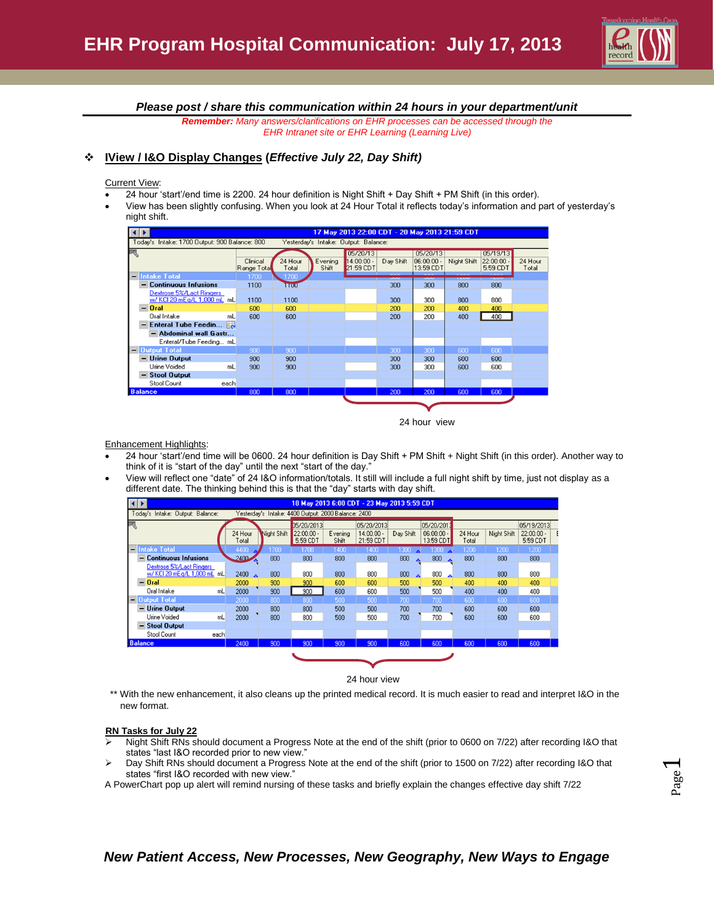

*Please post / share this communication within 24 hours in your department/unit*

*Remember: Many answers/clarifications on EHR processes can be accessed through the EHR Intranet site or EHR Learning (Learning Live)*

#### **IView / I&O Display Changes (***Effective July 22, Day Shift)*

Current View:

- 24 hour 'start'/end time is 2200. 24 hour definition is Night Shift + Day Shift + PM Shift (in this order).
- View has been slightly confusing. When you look at 24 Hour Total it reflects today's information and part of yesterday's night shift.

|                | $\leftarrow$<br>17 May 2013 22:00 CDT - 20 May 2013 21:59 CDT                         |                         |                  |                  |                                       |           |                                       |             |                                   |                  |  |  |  |
|----------------|---------------------------------------------------------------------------------------|-------------------------|------------------|------------------|---------------------------------------|-----------|---------------------------------------|-------------|-----------------------------------|------------------|--|--|--|
|                | Today's Intake: 1700 Output: 900 Balance: 800<br>Yesterday's Intake: Output: Balance: |                         |                  |                  |                                       |           |                                       |             |                                   |                  |  |  |  |
| म्स्           |                                                                                       | Clinical<br>Range Total | 24 Hour<br>Total | Evening<br>Shift | 05/20/13<br>$14:00:00 -$<br>21:59 CDT | Day Shift | 05/20/13<br>$06:00:00 -$<br>13:59 CDT | Night Shift | 05/19/13<br>22:00:00.<br>5:59 CDT | 24 Hour<br>Total |  |  |  |
|                | - Intake Total                                                                        | 1700                    | 1700             |                  |                                       | ww        | <b>UNITED</b>                         | <b>TAMP</b> | <b><i>COMPANY</i></b>             |                  |  |  |  |
|                | - Continuous Infusions                                                                | 1100                    | TTUU             |                  |                                       | 300       | 300                                   | 800         | 800                               |                  |  |  |  |
|                | Dextrose 5%/Lact Ringers<br>w/ KCI 20 mEg/L 1,000 mL mL                               | 1100                    | 1100             |                  |                                       | 300       | 300                                   | 800         | 800                               |                  |  |  |  |
|                | $-$ Oral                                                                              | 600                     | 600              |                  |                                       | 200       | 200                                   | 400         | 400                               |                  |  |  |  |
|                | Oral Intake                                                                           | mL<br>600               | 600              |                  |                                       | 200       | 200                                   | 400         | 400                               |                  |  |  |  |
|                | <b>Enteral Tube Feedin</b>                                                            |                         |                  |                  |                                       |           |                                       |             |                                   |                  |  |  |  |
|                | - Abdominal wall Gastr                                                                |                         |                  |                  |                                       |           |                                       |             |                                   |                  |  |  |  |
|                | Enteral/Tube Feeding mL                                                               |                         |                  |                  |                                       |           |                                       |             |                                   |                  |  |  |  |
|                | - Output Total                                                                        | 900                     | 900              |                  |                                       | 300       | 300                                   | 600         | 600                               |                  |  |  |  |
|                | - Urine Output                                                                        | 900                     | 900              |                  |                                       | 300       | 300                                   | 600         | 600                               |                  |  |  |  |
|                | Urine Voided                                                                          | mL<br>900               | 900              |                  |                                       | 300       | 300                                   | 600         | 600                               |                  |  |  |  |
|                | - Stool Output                                                                        |                         |                  |                  |                                       |           |                                       |             |                                   |                  |  |  |  |
|                | Stool Count<br>each                                                                   |                         |                  |                  |                                       |           |                                       |             |                                   |                  |  |  |  |
| <b>Balance</b> |                                                                                       | 800                     | 800              |                  |                                       | 200       | 200                                   | 600         | 600                               |                  |  |  |  |
|                |                                                                                       |                         |                  |                  |                                       |           |                                       |             |                                   |                  |  |  |  |
|                |                                                                                       |                         |                  |                  |                                       |           |                                       |             |                                   |                  |  |  |  |



Enhancement Highlights:

- 24 hour 'start'/end time will be 0600. 24 hour definition is Day Shift + PM Shift + Night Shift (in this order). Another way to think of it is "start of the day" until the next "start of the day."
- View will reflect one "date" of 24 I&O information/totals. It still will include a full night shift by time, just not display as a different date. The thinking behind this is that the "day" starts with day shift.

|   | $\leftarrow$   |                                                         |      |                  |             |                                                     |                  | 18 May 2013 6:00 CDT - 23 May 2013 5:59 CDT |                                 |                                         |                  |             |                                        |
|---|----------------|---------------------------------------------------------|------|------------------|-------------|-----------------------------------------------------|------------------|---------------------------------------------|---------------------------------|-----------------------------------------|------------------|-------------|----------------------------------------|
|   |                | Today's Intake: Output: Balance:                        |      |                  |             | Yesterday's Intake: 4400 Output: 2000 Balance: 2400 |                  |                                             |                                 |                                         |                  |             |                                        |
| 开 |                |                                                         |      | 24 Hour<br>Total | Night Shift | 05/20/2013<br>$22:00:00 -$<br>5:59 CDT              | Evening<br>Shift | 05/20/2013<br>$14:00:00 -$<br>21:59 CDT     | Day Shift                       | 05/20/2013<br>$06:00:00 -$<br>13:59 CDT | 24 Hour<br>Total | Night Shift | 05/19/2013<br>$22:00:00 -$<br>5:59 CDT |
|   |                | — <b>Intake Total</b>                                   |      | 4400             | 1700        | 1700                                                | 1400             | 1400                                        | 1300                            | $1300$ $\triangle$                      | 1200             | 1200        | 1200                                   |
|   | -              | <b>Continuous Infusions</b>                             |      | 2400             | 800         | 800                                                 | 800              | 800                                         | 800                             | 800                                     | 800              | 800         | 800                                    |
|   |                | Dextrose 5%/Lact Ringers<br>w/ KCI 20 mEg/L 1,000 mL mL |      | $2400 \Delta$    | 800         | 800                                                 | 800              | 800                                         | 800<br>$\overline{\phantom{a}}$ | 800<br>$\rightarrow$                    | 800              | 800         | 800                                    |
|   |                | $-$ Oral                                                |      | 2000             | 900         | 900                                                 | 600              | 600                                         | 500                             | 500                                     | 400              | 400         | 400                                    |
|   |                | Oral Intake                                             | mL   | 2000             | 900         | 900                                                 | 600              | 600                                         | 500                             | 500                                     | 400              | 400         | 400                                    |
|   |                | - Output Total                                          |      | 2000             | 800         | 800                                                 | 500              | 500                                         | 700                             | 700                                     | 600              | 600         | 600                                    |
|   | -              | <b>Urine Output</b>                                     |      | 2000             | 800         | 800                                                 | 500              | 500                                         | 700                             | 700                                     | 600              | 600         | 600                                    |
|   |                | Urine Voided                                            | mL   | 2000             | 800         | 800                                                 | 500              | 500                                         | 700                             | 700                                     | 600              | 600         | 600                                    |
|   | -              | <b>Stool Output</b>                                     |      |                  |             |                                                     |                  |                                             |                                 |                                         |                  |             |                                        |
|   |                | Stool Count                                             | each |                  |             |                                                     |                  |                                             |                                 |                                         |                  |             |                                        |
|   | <b>Balance</b> |                                                         |      | 2400             | 900         | 900                                                 | 900              | 900                                         | 600                             | 600                                     | 600              | 600         | 600                                    |
|   |                |                                                         |      |                  |             |                                                     |                  |                                             |                                 |                                         |                  |             |                                        |

24 hour view

\*\* With the new enhancement, it also cleans up the printed medical record. It is much easier to read and interpret I&O in the new format.

#### **RN Tasks for July 22**

- Night Shift RNs should document a Progress Note at the end of the shift (prior to 0600 on 7/22) after recording I&O that states "last I&O recorded prior to new view."
- Day Shift RNs should document a Progress Note at the end of the shift (prior to 1500 on 7/22) after recording I&O that states "first I&O recorded with new view."
- A PowerChart pop up alert will remind nursing of these tasks and briefly explain the changes effective day shift 7/22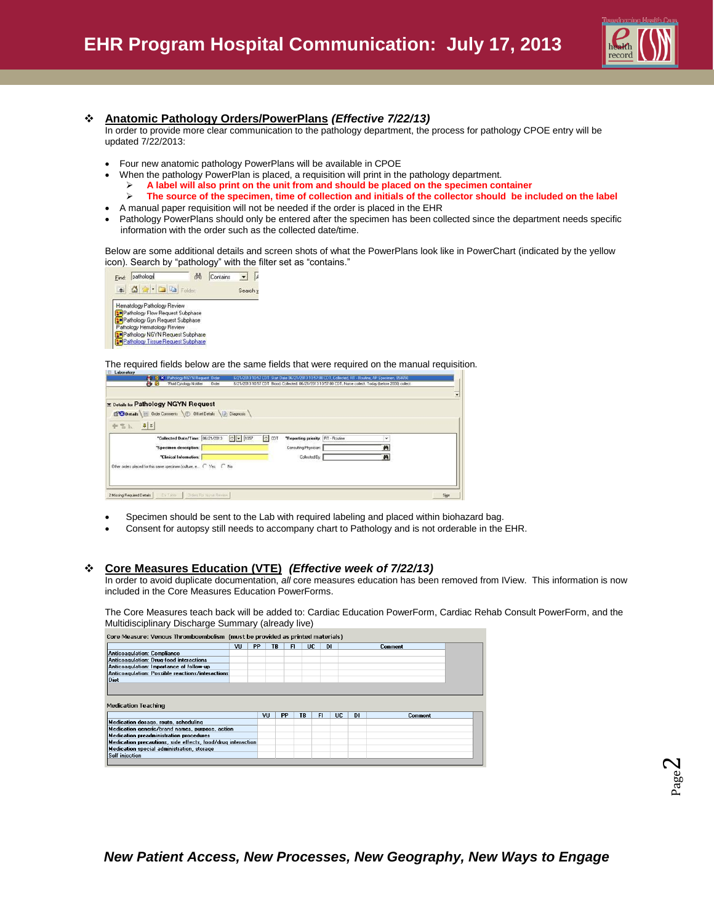

#### **Anatomic Pathology Orders/PowerPlans** *(Effective 7/22/13)*

In order to provide more clear communication to the pathology department, the process for pathology CPOE entry will be updated 7/22/2013:

- Four new anatomic pathology PowerPlans will be available in CPOE
	- When the pathology PowerPlan is placed, a requisition will print in the pathology department.
	- **A label will also print on the unit from and should be placed on the specimen container**
		- **The source of the specimen, time of collection and initials of the collector should be included on the label**
	- A manual paper requisition will not be needed if the order is placed in the EHR
- Pathology PowerPlans should only be entered after the specimen has been collected since the department needs specific information with the order such as the collected date/time.

Below are some additional details and screen shots of what the PowerPlans look like in PowerChart (indicated by the yellow icon). Search by "pathology" with the filter set as "contains."



The required fields below are the same fields that were required on the manual requisition.

|                                                             | <b>x</b> Details for Pathology NGYN Request                       |         |                                  |                                   |              |  |
|-------------------------------------------------------------|-------------------------------------------------------------------|---------|----------------------------------|-----------------------------------|--------------|--|
|                                                             | Details Brider Comments <b>C</b> Offset Details Diagnosis         |         |                                  |                                   |              |  |
| $+$ $\frac{1}{2}$ $\frac{1}{2}$ $\frac{1}{2}$ $\frac{1}{2}$ |                                                                   |         |                                  |                                   |              |  |
|                                                             |                                                                   |         |                                  |                                   |              |  |
|                                                             | *Collected Date/Time: 06/21/2013                                  | $-1057$ | $\left  \frac{1}{n} \right $ CDT | "Reporting priority: RT - Routine | $\checkmark$ |  |
|                                                             | "Specimen description:                                            |         |                                  | Consulting Physician:             | 两            |  |
|                                                             | "Clinical Information:                                            |         |                                  | Collected By                      | 两            |  |
|                                                             | Other orders placed for this same specimen (culture, e ( Yes ( No |         |                                  |                                   |              |  |
|                                                             |                                                                   |         |                                  |                                   |              |  |

- Specimen should be sent to the Lab with required labeling and placed within biohazard bag.
- Consent for autopsy still needs to accompany chart to Pathology and is not orderable in the EHR.

#### **Core Measures Education (VTE)** *(Effective week of 7/22/13)*

In order to avoid duplicate documentation, *all* core measures education has been removed from IView. This information is now included in the Core Measures Education PowerForms.

The Core Measures teach back will be added to: Cardiac Education PowerForm, Cardiac Rehab Consult PowerForm, and the Multidisciplinary Discharge Summary (already live)

|                                                                                                                                                                                                                                                      | VU | <b>PP</b> | TB | FI        | UC. | <b>DI</b> |    | <b>Comment</b> |
|------------------------------------------------------------------------------------------------------------------------------------------------------------------------------------------------------------------------------------------------------|----|-----------|----|-----------|-----|-----------|----|----------------|
| Anticoagulation: Compliance                                                                                                                                                                                                                          |    |           |    |           |     |           |    |                |
| Anticoagulation: Drug-food interactions                                                                                                                                                                                                              |    |           |    |           |     |           |    |                |
| Anticoagulation: Importance of follow-up                                                                                                                                                                                                             |    |           |    |           |     |           |    |                |
| Anticoagulation: Possible reactions/interactions                                                                                                                                                                                                     |    |           |    |           |     |           |    |                |
| Diet                                                                                                                                                                                                                                                 |    |           |    |           |     |           |    |                |
|                                                                                                                                                                                                                                                      |    |           |    |           |     |           |    |                |
|                                                                                                                                                                                                                                                      |    | VII       | PP | <b>TR</b> | FI  | UC        | D1 | Comment        |
|                                                                                                                                                                                                                                                      |    |           |    |           |     |           |    |                |
|                                                                                                                                                                                                                                                      |    |           |    |           |     |           |    |                |
|                                                                                                                                                                                                                                                      |    |           |    |           |     |           |    |                |
| Medication preadministration procedures                                                                                                                                                                                                              |    |           |    |           |     |           |    |                |
| <b>Medication Teaching</b><br>Medication dosage, route, scheduling<br>Medication generic/brand names, purpose, action<br>Medication precautions, side effects, food/drug interaction<br>Medication special administration, storage<br>Self injection |    |           |    |           |     |           |    |                |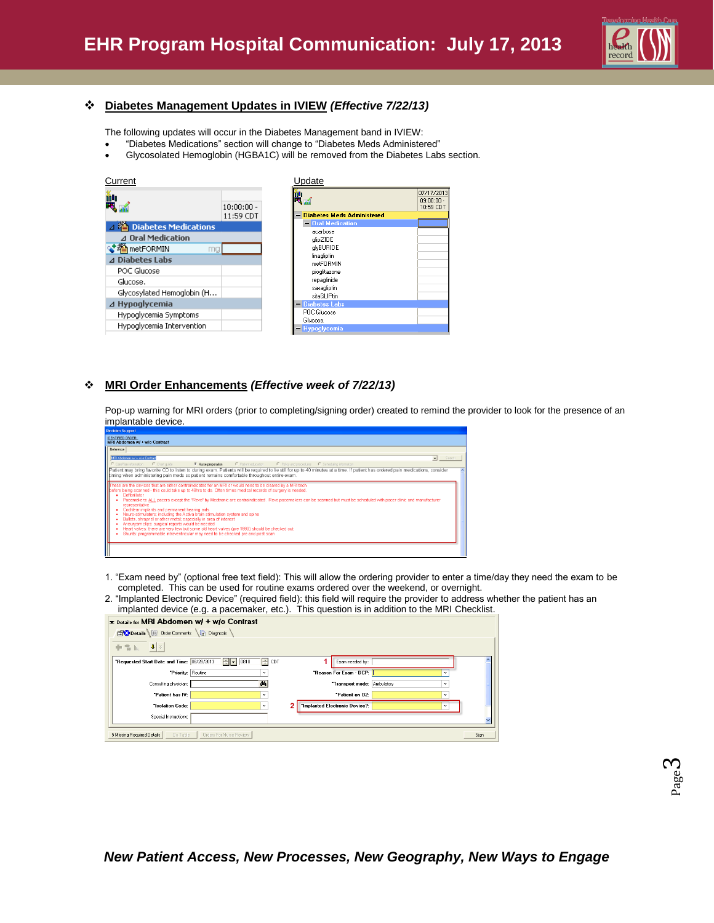

### **Diabetes Management Updates in IVIEW** *(Effective 7/22/13)*

The following updates will occur in the Diabetes Management band in IVIEW:

- "Diabetes Medications" section will change to "Diabetes Meds Administered"
- Glycosolated Hemoglobin (HGBA1C) will be removed from the Diabetes Labs section.

| Current                                                                              |              | Update                                                                                                      |                                      |
|--------------------------------------------------------------------------------------|--------------|-------------------------------------------------------------------------------------------------------------|--------------------------------------|
| iil,                                                                                 | $10:00:00 -$ | îîL                                                                                                         | 07/17/2013<br>09:00:00.<br>10:59 CDT |
| ⊿ 穞 Diabetes Medications                                                             | 11:59 CDT    | <b>Diabetes Meds Administered</b><br>$\overline{\phantom{0}}$<br>- Oral Medication                          |                                      |
| ⊿ Oral Medication<br>√档metFORMIN<br>ma<br>⊿ Diabetes Labs<br>POC Glucose<br>Glucose. |              | acarbose<br>qlipZIDE<br>alvBURIDE<br>linagliptin<br>metFORMIN<br>pioglitazone<br>repaglinide<br>saxagliptin |                                      |
| Glycosylated Hemoglobin (H                                                           |              | sitaGLIPtin                                                                                                 |                                      |
| $\Delta$ Hypoglycemia                                                                |              | - Diabetes Labs<br>POC Glucose                                                                              |                                      |
| Hypoglycemia Symptoms<br>Hypoglycemia Intervention                                   |              | Glucose.<br>Hypoglycemia                                                                                    |                                      |

## **MRI Order Enhancements** *(Effective week of 7/22/13)*

Pop-up warning for MRI orders (prior to completing/signing order) created to remind the provider to look for the presence of an implantable device.

| <b>Decision Support</b>                                                                                                                                                                                                                                                                                                                                                                                                                                                                                                                                                                                                                                                                                                                                                                                                                                                   |
|---------------------------------------------------------------------------------------------------------------------------------------------------------------------------------------------------------------------------------------------------------------------------------------------------------------------------------------------------------------------------------------------------------------------------------------------------------------------------------------------------------------------------------------------------------------------------------------------------------------------------------------------------------------------------------------------------------------------------------------------------------------------------------------------------------------------------------------------------------------------------|
| <b>IDENTIFIED ORDER:</b><br>MRI Abdomen w/ + w/o Contrast                                                                                                                                                                                                                                                                                                                                                                                                                                                                                                                                                                                                                                                                                                                                                                                                                 |
| Reference                                                                                                                                                                                                                                                                                                                                                                                                                                                                                                                                                                                                                                                                                                                                                                                                                                                                 |
| MRI Abdomen w/ + w/o Contrast<br>Search<br>$\mathbf{r}$                                                                                                                                                                                                                                                                                                                                                                                                                                                                                                                                                                                                                                                                                                                                                                                                                   |
| C CarePlan information<br>C Chat guide<br>C Patient education<br>C Policy and procedures C Scheduling information<br>• Nurse preparation                                                                                                                                                                                                                                                                                                                                                                                                                                                                                                                                                                                                                                                                                                                                  |
| Patient may bring favorite CD to listen to during exam. Patients will be required to lie still for up to 40 minutes at a time. If patient has ordered pain medications, consider<br>timing when administering pain meds so patient remains comfortable throughout entire exam.                                                                                                                                                                                                                                                                                                                                                                                                                                                                                                                                                                                            |
| These are the devices that are either contraindicated for an MRI or would need to be cleared by a MRI tech<br>before being scanned - this could take up to 48hrs to do. Often times medical records of surgery is needed.<br>Defibrillator<br>Pacemakers: ALL pacers except the "Revo" by Medtronic are contraindicated. Revo pacemakers can be scanned but must be scheduled with pacer clinic and manufacturer<br>representative<br>Cochlear implants and permanent hearing aids<br>Neuro-stimulators; including the Activa brain stimulation system and spine<br>Bullets, shrapnel or other metal; especially in area of interest<br>Aneurysm clips: surgical reports would be needed<br>Heart valves: there are very few but some old heart valves (ore 1990) should be checked out<br>Shunts: programmable intraventricular may need to be checked pre and post scan |

- 1. "Exam need by" (optional free text field): This will allow the ordering provider to enter a time/day they need the exam to be completed. This can be used for routine exams ordered over the weekend, or overnight.
- 2. "Implanted Electronic Device" (required field): this field will require the provider to address whether the patient has an implanted device (e.g. a pacemaker, etc.). This question is in addition to the MRI Checklist.

| E Details for MRI Abdomen w/ + w/o Contrast                                                                                             |      |
|-----------------------------------------------------------------------------------------------------------------------------------------|------|
| <b>Diagnosis</b><br>Details Order Comments                                                                                              |      |
| $\left\vert \mathbf{U}\right\vert \times$<br>十名 list                                                                                    |      |
| I÷l cor<br>"Requested Start Date and Time: 06/28/2013<br>$\left\  \cdot \right\ $ $\left\  \cdot \right\ $<br> 0810 <br>Exam needed by: |      |
| "Priority: Routine<br>"Reason For Exam - DCP:<br>v<br>v                                                                                 |      |
| *Transport mode: Ambulatory<br>Consulting physician:<br>$\checkmark$<br><b>PL</b>                                                       |      |
| "Patient on 02:<br>"Patient has IV:<br>$\checkmark$<br>$\checkmark$                                                                     |      |
| 2<br>"Implanted Electronic Device?:<br>"Isolation Code:<br>$\checkmark$<br>$\checkmark$                                                 |      |
| Special Instructions:                                                                                                                   |      |
|                                                                                                                                         |      |
| 5 Missing Required Details<br>Dx Table<br><b>Orders For Nurse Review</b>                                                                | Sign |